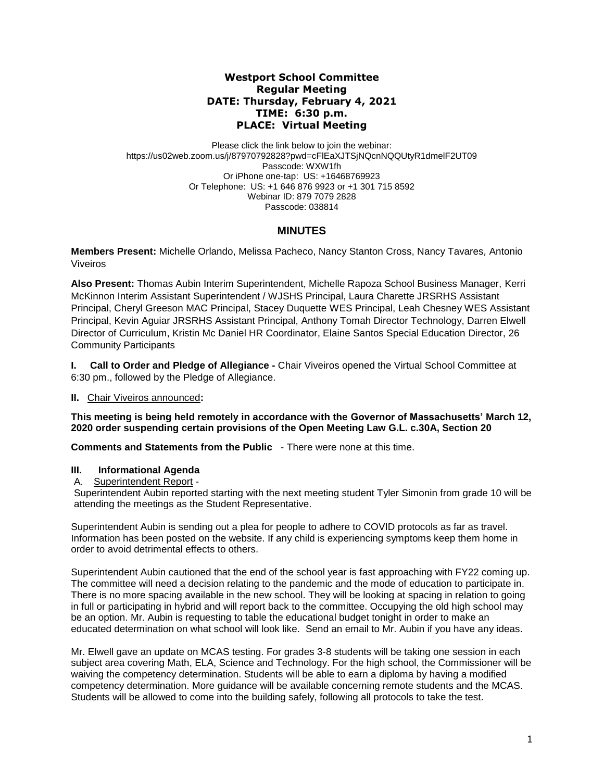## **Westport School Committee Regular Meeting DATE: Thursday, February 4, 2021 TIME: 6:30 p.m. PLACE: Virtual Meeting**

Please click the link below to join the webinar: https://us02web.zoom.us/j/87970792828?pwd=cFlEaXJTSjNQcnNQQUtyR1dmelF2UT09 Passcode: WXW1fh Or iPhone one-tap: US: +16468769923 Or Telephone: US: +1 646 876 9923 or +1 301 715 8592 Webinar ID: 879 7079 2828 Passcode: 038814

# **MINUTES**

**Members Present:** Michelle Orlando, Melissa Pacheco, Nancy Stanton Cross, Nancy Tavares*,* Antonio Viveiros

**Also Present:** Thomas Aubin Interim Superintendent, Michelle Rapoza School Business Manager, Kerri McKinnon Interim Assistant Superintendent / WJSHS Principal, Laura Charette JRSRHS Assistant Principal, Cheryl Greeson MAC Principal, Stacey Duquette WES Principal, Leah Chesney WES Assistant Principal, Kevin Aguiar JRSRHS Assistant Principal, Anthony Tomah Director Technology, Darren Elwell Director of Curriculum, Kristin Mc Daniel HR Coordinator, Elaine Santos Special Education Director, 26 Community Participants

**I. Call to Order and Pledge of Allegiance -** Chair Viveiros opened the Virtual School Committee at 6:30 pm., followed by the Pledge of Allegiance.

## **II.** Chair Viveiros announced**:**

**This meeting is being held remotely in accordance with the Governor of Massachusetts' March 12, 2020 order suspending certain provisions of the Open Meeting Law G.L. c.30A, Section 20**

**Comments and Statements from the Public** - There were none at this time.

## **III. Informational Agenda**

### A. Superintendent Report -

Superintendent Aubin reported starting with the next meeting student Tyler Simonin from grade 10 will be attending the meetings as the Student Representative.

Superintendent Aubin is sending out a plea for people to adhere to COVID protocols as far as travel. Information has been posted on the website. If any child is experiencing symptoms keep them home in order to avoid detrimental effects to others.

Superintendent Aubin cautioned that the end of the school year is fast approaching with FY22 coming up. The committee will need a decision relating to the pandemic and the mode of education to participate in. There is no more spacing available in the new school. They will be looking at spacing in relation to going in full or participating in hybrid and will report back to the committee. Occupying the old high school may be an option. Mr. Aubin is requesting to table the educational budget tonight in order to make an educated determination on what school will look like. Send an email to Mr. Aubin if you have any ideas.

Mr. Elwell gave an update on MCAS testing. For grades 3-8 students will be taking one session in each subject area covering Math, ELA, Science and Technology. For the high school, the Commissioner will be waiving the competency determination. Students will be able to earn a diploma by having a modified competency determination. More guidance will be available concerning remote students and the MCAS. Students will be allowed to come into the building safely, following all protocols to take the test.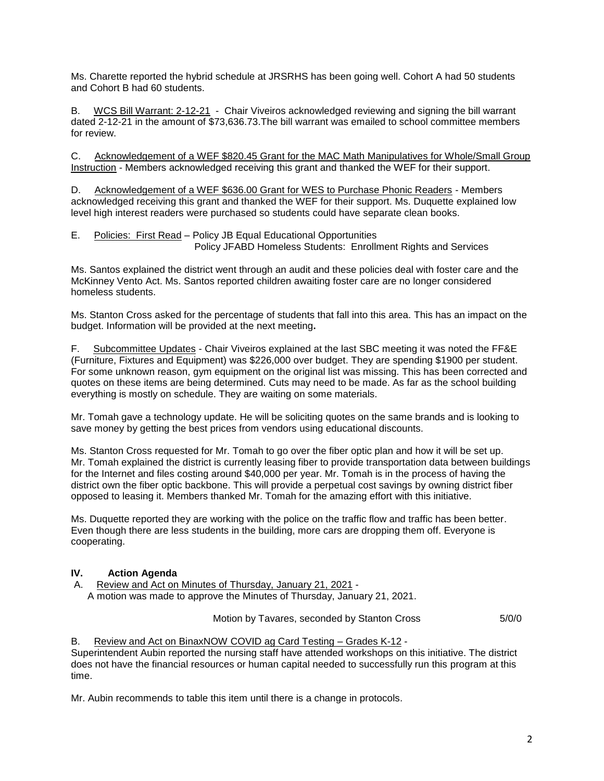Ms. Charette reported the hybrid schedule at JRSRHS has been going well. Cohort A had 50 students and Cohort B had 60 students.

B. WCS Bill Warrant: 2-12-21 - Chair Viveiros acknowledged reviewing and signing the bill warrant dated 2-12-21 in the amount of \$73,636.73.The bill warrant was emailed to school committee members for review.

C. Acknowledgement of a WEF \$820.45 Grant for the MAC Math Manipulatives for Whole/Small Group Instruction - Members acknowledged receiving this grant and thanked the WEF for their support.

D. Acknowledgement of a WEF \$636.00 Grant for WES to Purchase Phonic Readers - Members acknowledged receiving this grant and thanked the WEF for their support. Ms. Duquette explained low level high interest readers were purchased so students could have separate clean books.

E. Policies: First Read – Policy JB Equal Educational Opportunities Policy JFABD Homeless Students: Enrollment Rights and Services

Ms. Santos explained the district went through an audit and these policies deal with foster care and the McKinney Vento Act. Ms. Santos reported children awaiting foster care are no longer considered homeless students.

Ms. Stanton Cross asked for the percentage of students that fall into this area. This has an impact on the budget. Information will be provided at the next meeting**.**

F. Subcommittee Updates - Chair Viveiros explained at the last SBC meeting it was noted the FF&E (Furniture, Fixtures and Equipment) was \$226,000 over budget. They are spending \$1900 per student. For some unknown reason, gym equipment on the original list was missing. This has been corrected and quotes on these items are being determined. Cuts may need to be made. As far as the school building everything is mostly on schedule. They are waiting on some materials.

Mr. Tomah gave a technology update. He will be soliciting quotes on the same brands and is looking to save money by getting the best prices from vendors using educational discounts.

Ms. Stanton Cross requested for Mr. Tomah to go over the fiber optic plan and how it will be set up. Mr. Tomah explained the district is currently leasing fiber to provide transportation data between buildings for the Internet and files costing around \$40,000 per year. Mr. Tomah is in the process of having the district own the fiber optic backbone. This will provide a perpetual cost savings by owning district fiber opposed to leasing it. Members thanked Mr. Tomah for the amazing effort with this initiative.

Ms. Duquette reported they are working with the police on the traffic flow and traffic has been better. Even though there are less students in the building, more cars are dropping them off. Everyone is cooperating.

## **IV. Action Agenda**

A. Review and Act on Minutes of Thursday, January 21, 2021 - A motion was made to approve the Minutes of Thursday, January 21, 2021.

Motion by Tavares, seconded by Stanton Cross 5/0/0

### B. Review and Act on BinaxNOW COVID ag Card Testing – Grades K-12 -

Superintendent Aubin reported the nursing staff have attended workshops on this initiative. The district does not have the financial resources or human capital needed to successfully run this program at this time.

Mr. Aubin recommends to table this item until there is a change in protocols.